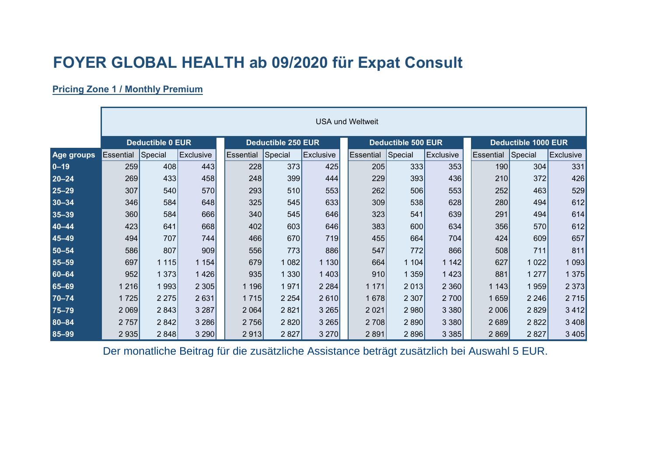## **FOYER GLOBAL HEALTH ab 09/2020 für Expat Consult**

## **Pricing Zone 1 / Monthly Premium**

|            | <b>USA und Weltweit</b> |                         |           |                           |         |           |  |                  |                           |           |                            |         |                  |
|------------|-------------------------|-------------------------|-----------|---------------------------|---------|-----------|--|------------------|---------------------------|-----------|----------------------------|---------|------------------|
|            |                         | <b>Deductible 0 EUR</b> |           | <b>Deductible 250 EUR</b> |         |           |  |                  | <b>Deductible 500 EUR</b> |           | <b>Deductible 1000 EUR</b> |         |                  |
| Age groups | Essential               | Special                 | Exclusive | Essential                 | Special | Exclusive |  | <b>Essential</b> | Special                   | Exclusive | Essential                  | Special | <b>Exclusive</b> |
| $0 - 19$   | 259                     | 408                     | 443       | 228                       | 373     | 425       |  | 205              | 333                       | 353       | 190                        | 304     | 331              |
| $20 - 24$  | 269                     | 433                     | 458       | 248                       | 399     | 444       |  | 229              | 393                       | 436       | 210                        | 372     | 426              |
| $25 - 29$  | 307                     | 540                     | 570       | 293                       | 510     | 553       |  | 262              | 506                       | 553       | 252                        | 463     | 529              |
| $30 - 34$  | 346                     | 584                     | 648       | 325                       | 545     | 633       |  | 309              | 538                       | 628       | 280                        | 494     | 612              |
| $35 - 39$  | 360                     | 584                     | 666       | 340                       | 545     | 646       |  | 323              | 541                       | 639       | 291                        | 494     | 614              |
| $40 - 44$  | 423                     | 641                     | 668       | 402                       | 603     | 646       |  | 383              | 600                       | 634       | 356                        | 570     | 612              |
| $45 - 49$  | 494                     | 707                     | 744       | 466                       | 670     | 719       |  | 455              | 664                       | 704       | 424                        | 609     | 657              |
| $50 - 54$  | 586                     | 807                     | 909       | 556                       | 773     | 886       |  | 547              | 772                       | 866       | 508                        | 711     | 811              |
| $55 - 59$  | 697                     | 1115                    | 1 1 5 4   | 679                       | 1 0 8 2 | 1 1 3 0   |  | 664              | 1104                      | 1 1 4 2   | 627                        | 1 0 2 2 | 1093             |
| $60 - 64$  | 952                     | 1373                    | 1426      | 935                       | 1330    | 1 4 0 3   |  | 910              | 1 3 5 9                   | 1423      | 881                        | 1 2 7 7 | 1 375            |
| 65-69      | 1 2 1 6                 | 1993                    | 2 3 0 5   | 1 196                     | 1971    | 2 2 8 4   |  | 1 171            | 2 0 1 3                   | 2 3 6 0   | 1143                       | 1959    | 2 3 7 3          |
| $70 - 74$  | 1725                    | 2 2 7 5                 | 2631      | 1 7 1 5                   | 2 2 5 4 | 2610      |  | 1678             | 2 3 0 7                   | 2700      | 1659                       | 2 2 4 6 | 2 7 1 5          |
| $75 - 79$  | 2 0 6 9                 | 2843                    | 3 2 8 7   | 2 0 6 4                   | 2821    | 3 2 6 5   |  | 2 0 2 1          | 2980                      | 3 3 8 0   | 2 0 0 6                    | 2 8 2 9 | 3 4 1 2          |
| $80 - 84$  | 2757                    | 2 8 4 2                 | 3 2 8 6   | 2756                      | 2 8 20  | 3 2 6 5   |  | 2 708            | 2 8 9 0                   | 3 3 8 0   | 2689                       | 2822    | 3 4 0 8          |
| $85 - 99$  | 2 9 3 5                 | 2848                    | 3 2 9 0   | 2913                      | 2 8 2 7 | 3 2 7 0   |  | 2891             | 2896                      | 3 3 8 5   | 2869                       | 2827    | 3 4 0 5          |

Der monatliche Beitrag für die zusätzliche Assistance beträgt zusätzlich bei Auswahl 5 EUR.